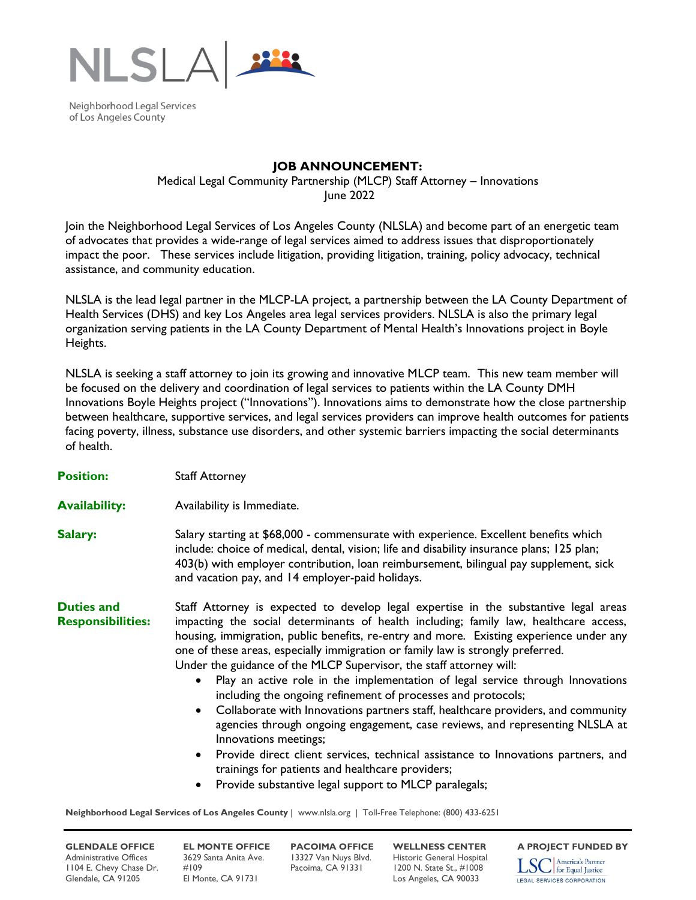

Neighborhood Legal Services of Los Angeles County

## **JOB ANNOUNCEMENT:**

Medical Legal Community Partnership (MLCP) Staff Attorney – Innovations June 2022

Join the Neighborhood Legal Services of Los Angeles County (NLSLA) and become part of an energetic team of advocates that provides a wide-range of legal services aimed to address issues that disproportionately impact the poor. These services include litigation, providing litigation, training, policy advocacy, technical assistance, and community education.

NLSLA is the lead legal partner in the MLCP-LA project, a partnership between the LA County Department of Health Services (DHS) and key Los Angeles area legal services providers. NLSLA is also the primary legal organization serving patients in the LA County Department of Mental Health's Innovations project in Boyle Heights.

NLSLA is seeking a staff attorney to join its growing and innovative MLCP team. This new team member will be focused on the delivery and coordination of legal services to patients within the LA County DMH Innovations Boyle Heights project ("Innovations"). Innovations aims to demonstrate how the close partnership between healthcare, supportive services, and legal services providers can improve health outcomes for patients facing poverty, illness, substance use disorders, and other systemic barriers impacting the social determinants of health.

**Position:** Staff Attorney

- **Availability:** Availability is Immediate.
- **Salary:** Salary starting at \$68,000 commensurate with experience. Excellent benefits which include: choice of medical, dental, vision; life and disability insurance plans; 125 plan; 403(b) with employer contribution, loan reimbursement, bilingual pay supplement, sick and vacation pay, and 14 employer-paid holidays.

**Duties and Responsibilities:** Staff Attorney is expected to develop legal expertise in the substantive legal areas impacting the social determinants of health including; family law, healthcare access, housing, immigration, public benefits, re-entry and more. Existing experience under any one of these areas, especially immigration or family law is strongly preferred. Under the guidance of the MLCP Supervisor, the staff attorney will:

- Play an active role in the implementation of legal service through Innovations including the ongoing refinement of processes and protocols;
- Collaborate with Innovations partners staff, healthcare providers, and community agencies through ongoing engagement, case reviews, and representing NLSLA at Innovations meetings;
- Provide direct client services, technical assistance to Innovations partners, and trainings for patients and healthcare providers;
- Provide substantive legal support to MLCP paralegals;

**Neighborhood Legal Services of Los Angeles County** | www.nlsla.org | Toll-Free Telephone: (800) 433-6251

Administrative Offices 3629 Santa Anita Ave. 13327 Van Nuys Blvd. Historic General Hospital<br>1104 E. Chevy Chase Dr. #109 Pacoima, CA 91331 1200 N. State St., #1008 1104 E. Chevy Chase Dr. #109 Pacoima, CA 91331 1200 N. State St., #1008 Glendale, CA 91205 El Monte, CA 91731 Los Angeles, CA 90033

**GLENDALE OFFICE EL MONTE OFFICE PACOIMA OFFICE WELLNESS CENTER** A PROJECT FUNDED BY<br>Administrative Offices 3629 Santa Anita Ave. 13327 Van Nuys Blvd. Historic General Hospital **Terra America's Partner** 

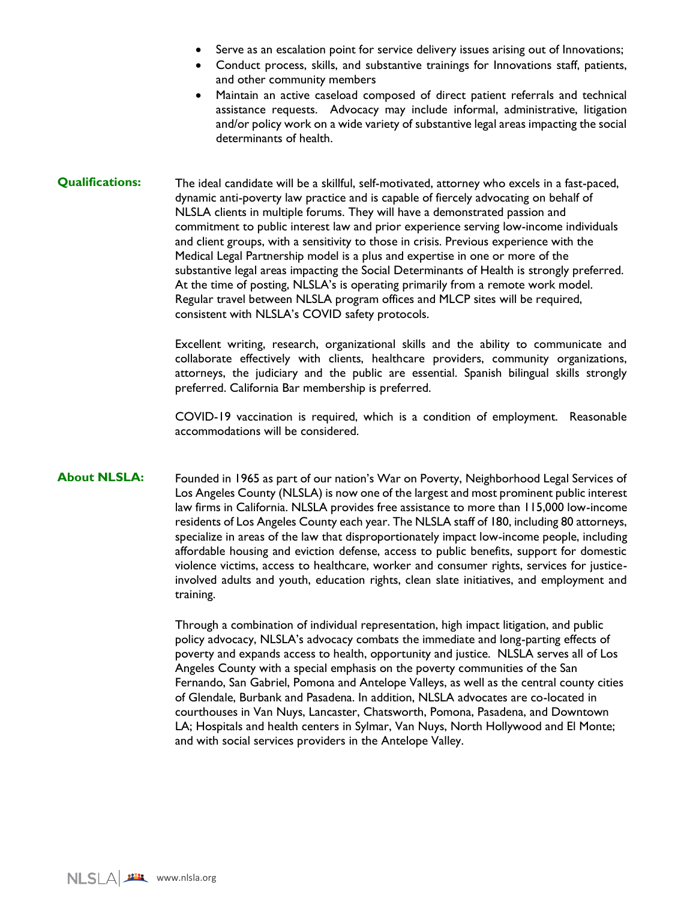- Serve as an escalation point for service delivery issues arising out of Innovations;
- Conduct process, skills, and substantive trainings for Innovations staff, patients, and other community members
- Maintain an active caseload composed of direct patient referrals and technical assistance requests. Advocacy may include informal, administrative, litigation and/or policy work on a wide variety of substantive legal areas impacting the social determinants of health.
- **Qualifications:** The ideal candidate will be a skillful, self-motivated, attorney who excels in a fast-paced, dynamic anti-poverty law practice and is capable of fiercely advocating on behalf of NLSLA clients in multiple forums. They will have a demonstrated passion and commitment to public interest law and prior experience serving low-income individuals and client groups, with a sensitivity to those in crisis. Previous experience with the Medical Legal Partnership model is a plus and expertise in one or more of the substantive legal areas impacting the Social Determinants of Health is strongly preferred. At the time of posting, NLSLA's is operating primarily from a remote work model. Regular travel between NLSLA program offices and MLCP sites will be required, consistent with NLSLA's COVID safety protocols.

Excellent writing, research, organizational skills and the ability to communicate and collaborate effectively with clients, healthcare providers, community organizations, attorneys, the judiciary and the public are essential. Spanish bilingual skills strongly preferred. California Bar membership is preferred.

COVID-19 vaccination is required, which is a condition of employment. Reasonable accommodations will be considered.

**About NLSLA:** Founded in 1965 as part of our nation's War on Poverty, Neighborhood Legal Services of Los Angeles County (NLSLA) is now one of the largest and most prominent public interest law firms in California. NLSLA provides free assistance to more than 115,000 low-income residents of Los Angeles County each year. The NLSLA staff of 180, including 80 attorneys, specialize in areas of the law that disproportionately impact low-income people, including affordable housing and eviction defense, access to public benefits, support for domestic violence victims, access to healthcare, worker and consumer rights, services for justiceinvolved adults and youth, education rights, clean slate initiatives, and employment and training.

> Through a combination of individual representation, high impact litigation, and public policy advocacy, NLSLA's advocacy combats the immediate and long-parting effects of poverty and expands access to health, opportunity and justice. NLSLA serves all of Los Angeles County with a special emphasis on the poverty communities of the San Fernando, San Gabriel, Pomona and Antelope Valleys, as well as the central county cities of Glendale, Burbank and Pasadena. In addition, NLSLA advocates are co-located in courthouses in Van Nuys, Lancaster, Chatsworth, Pomona, Pasadena, and Downtown LA; Hospitals and health centers in Sylmar, Van Nuys, North Hollywood and El Monte; and with social services providers in the Antelope Valley.